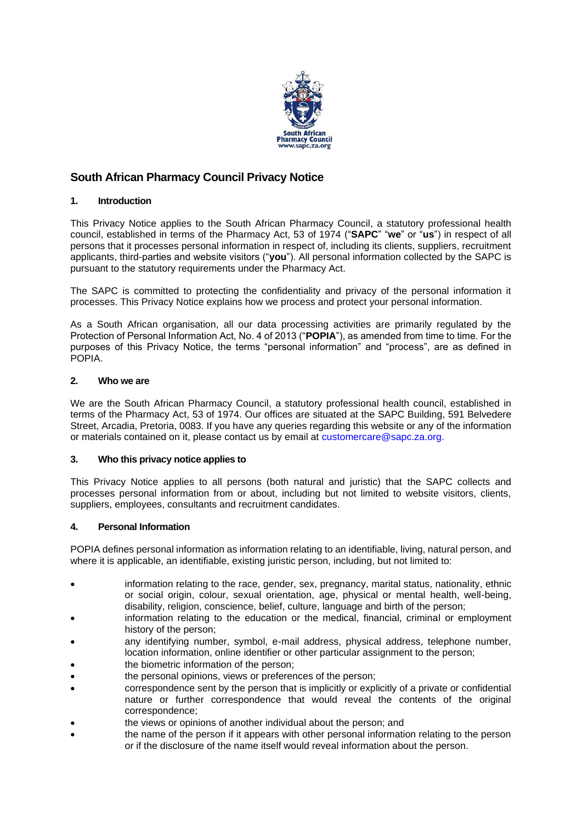

# **South African Pharmacy Council Privacy Notice**

## **1. Introduction**

This Privacy Notice applies to the South African Pharmacy Council, a statutory professional health council, established in terms of the Pharmacy Act, 53 of 1974 ("**SAPC**" "**we**" or "**us**") in respect of all persons that it processes personal information in respect of, including its clients, suppliers, recruitment applicants, third-parties and website visitors ("**you**"). All personal information collected by the SAPC is pursuant to the statutory requirements under the Pharmacy Act.

The SAPC is committed to protecting the confidentiality and privacy of the personal information it processes. This Privacy Notice explains how we process and protect your personal information.

As a South African organisation, all our data processing activities are primarily regulated by the Protection of Personal Information Act, No. 4 of 2013 ("**POPIA**"), as amended from time to time. For the purposes of this Privacy Notice, the terms "personal information" and "process", are as defined in POPIA.

### **2. Who we are**

We are the South African Pharmacy Council, a statutory professional health council, established in terms of the Pharmacy Act, 53 of 1974. Our offices are situated at the SAPC Building, 591 Belvedere Street, Arcadia, Pretoria, 0083. If you have any queries regarding this website or any of the information or materials contained on it, please contact us by email at [customercare@sapc.za.org.](mailto:customercare@sapc.za.org)

### **3. Who this privacy notice applies to**

This Privacy Notice applies to all persons (both natural and juristic) that the SAPC collects and processes personal information from or about, including but not limited to website visitors, clients, suppliers, employees, consultants and recruitment candidates.

### **4. Personal Information**

POPIA defines personal information as information relating to an identifiable, living, natural person, and where it is applicable, an identifiable, existing juristic person, including, but not limited to:

- information relating to the race, gender, sex, pregnancy, marital status, nationality, ethnic or social origin, colour, sexual orientation, age, physical or mental health, well-being, disability, religion, conscience, belief, culture, language and birth of the person;
- information relating to the education or the medical, financial, criminal or employment history of the person;
- any identifying number, symbol, e-mail address, physical address, telephone number, location information, online identifier or other particular assignment to the person;
- the biometric information of the person:
- the personal opinions, views or preferences of the person;
- correspondence sent by the person that is implicitly or explicitly of a private or confidential nature or further correspondence that would reveal the contents of the original correspondence;
- the views or opinions of another individual about the person; and
- the name of the person if it appears with other personal information relating to the person or if the disclosure of the name itself would reveal information about the person.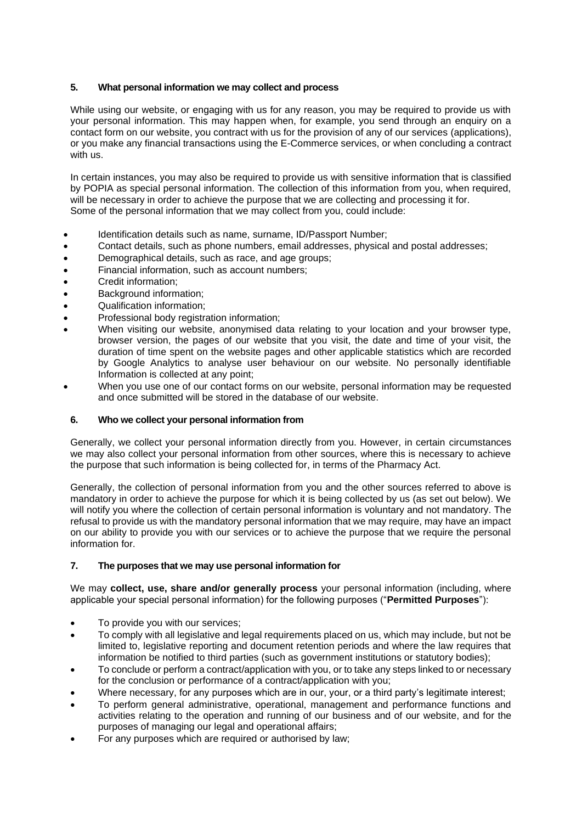### **5. What personal information we may collect and process**

While using our website, or engaging with us for any reason, you may be required to provide us with your personal information. This may happen when, for example, you send through an enquiry on a contact form on our website, you contract with us for the provision of any of our services (applications), or you make any financial transactions using the E-Commerce services, or when concluding a contract with us.

In certain instances, you may also be required to provide us with sensitive information that is classified by POPIA as special personal information. The collection of this information from you, when required, will be necessary in order to achieve the purpose that we are collecting and processing it for. Some of the personal information that we may collect from you, could include:

- Identification details such as name, surname, ID/Passport Number;
- Contact details, such as phone numbers, email addresses, physical and postal addresses;
- Demographical details, such as race, and age groups;
- Financial information, such as account numbers;
- Credit information;
- Background information:
- Qualification information;
- Professional body registration information;
- When visiting our website, anonymised data relating to your location and your browser type. browser version, the pages of our website that you visit, the date and time of your visit, the duration of time spent on the website pages and other applicable statistics which are recorded by Google Analytics to analyse user behaviour on our website. No personally identifiable Information is collected at any point;
- When you use one of our contact forms on our website, personal information may be requested and once submitted will be stored in the database of our website.

### **6. Who we collect your personal information from**

Generally, we collect your personal information directly from you. However, in certain circumstances we may also collect your personal information from other sources, where this is necessary to achieve the purpose that such information is being collected for, in terms of the Pharmacy Act.

Generally, the collection of personal information from you and the other sources referred to above is mandatory in order to achieve the purpose for which it is being collected by us (as set out below). We will notify you where the collection of certain personal information is voluntary and not mandatory. The refusal to provide us with the mandatory personal information that we may require, may have an impact on our ability to provide you with our services or to achieve the purpose that we require the personal information for.

### **7. The purposes that we may use personal information for**

We may **collect, use, share and/or generally process** your personal information (including, where applicable your special personal information) for the following purposes ("**Permitted Purposes**"):

- To provide you with our services;
- To comply with all legislative and legal requirements placed on us, which may include, but not be limited to, legislative reporting and document retention periods and where the law requires that information be notified to third parties (such as government institutions or statutory bodies);
- To conclude or perform a contract/application with you, or to take any steps linked to or necessary for the conclusion or performance of a contract/application with you;
- Where necessary, for any purposes which are in our, your, or a third party's legitimate interest;
- To perform general administrative, operational, management and performance functions and activities relating to the operation and running of our business and of our website, and for the purposes of managing our legal and operational affairs;
- For any purposes which are required or authorised by law;